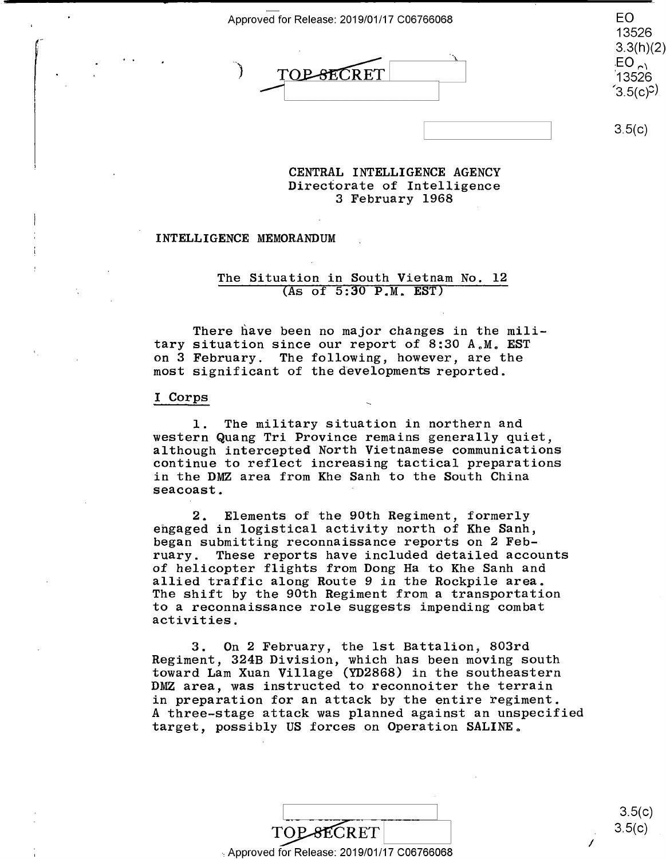Approved for Release: 2019/01/17 C06766068  $\blacksquare$ 

DE CONTENT TOP-SECRET  $\overline{O}$   $\overline{TOB\text{ }BECRET}$  EO  $(3.5(c)^2)$ 

EO 13526 13526 3.3(h)(2) 3.3(h)(2)  $EO_{\sim}$ '13526  $(3.5(c)^{2})$ 

 $3.5(c)$ 

#### **CENTRAL INTELLIGENCE AGENCY**  CENTRAL INTELLIGENCE AGENCY Directorate of Intelligence 3 February 1968 3 February 1968

#### **INTELLIGENCE MEMORANDUM**  INTELLIGENCE MEMORANDUM

# The Situation in South Vietnam No. 12 The Situation in South Vietnam No. 12 (As of 5:30 P.M. EST) (As of 5:30 P.M. EST)

There have been no major changes in the mili-There have been no major changes in the mili tary situation since our report of 8:30 A.Me **EST**  tary situation since our report of 8:30 A.M. EST on 3 February. The following, however, are the on 3 February. The following, however, are the most significant of the developments reported. most significant of the developments reported.

### I Corps and  $\overline{I}$  Corps and  $\overline{I}$  and  $\overline{I}$  and  $\overline{I}$  and  $\overline{I}$  and  $\overline{I}$  and  $\overline{I}$  and  $\overline{I}$  and  $\overline{I}$  and  $\overline{I}$  and  $\overline{I}$  and  $\overline{I}$  and  $\overline{I}$  and  $\overline{I}$  and  $\overline{I}$  and  $\overline{I}$

 $\begin{array}{|c|c|} \hline \hline \end{array}$ 

1. The military situation in northern and l. The military situation in northern and western Quang Tri Province remains generally quiet, western Quang Tri Province remains generally quiet, although intercepted North Vietnamese communications although intercepted North Vietnamese communications continue to reflect increasing tactical preparations continue to reflect increasing tactical preparations in the DMZ area from Khe Sanh to the South China in the DMZ area from Khe Sanh to the South China seacoast. seacoast. '

2. Elements of the 90th Regiment, formerly 2. Elements of the 90th Regiment, formerly engaged in logistical activity north of Khe Sanh, engaged in logistical activity north of Khe Sanh, began submitting reconnaissance reports on 2 Feb-began submitting reconnaissance reports on 2 February. These reports have included detailed accounts ruary. These reports have included detailed accounts of helicopter flights from Dong Ha to Khe Sanh and of helicopter flights from Dong Ha to Khe Sanh and allied traffic along Route 9 in the Rockpile area. allied traffic along Route 9 in the Rockpile area. The shift by the 90th Regiment from a transportation The shift by the 90th Regiment from <sup>a</sup> transportation to a reconnaissance role suggests impending combat to <sup>a</sup> reconnaissance role suggests impending combat activities. activities.

3. On 2 February, the 1st Battalion, 803rd 3. 0n 2 February, the lst Battalion, 803rd Regiment, 324B Division, which has been moving south Regiment, 324B Division, which has been moving south toward Lam Xuan Village (YD2868) in the southeastern toward Lam Xuan Village (YD2868) in the southeastern DMZ area, was instructed to reconnoiter the terrain DMZ area, was instructed to reconnoiter the terrain in preparation for an attack by the entire regiment. in preparation for an attack by the entire regiment. A three-stage attack was planned against an unspecified A three—stage attack was planned against an unspecified target, possibly US forces on Operation SALINE.

|                                            | 3.5(c) |
|--------------------------------------------|--------|
| <b>TOP-SECRET</b>                          | 3.5(c) |
| Approved for Release: 2019/01/17 C06766068 |        |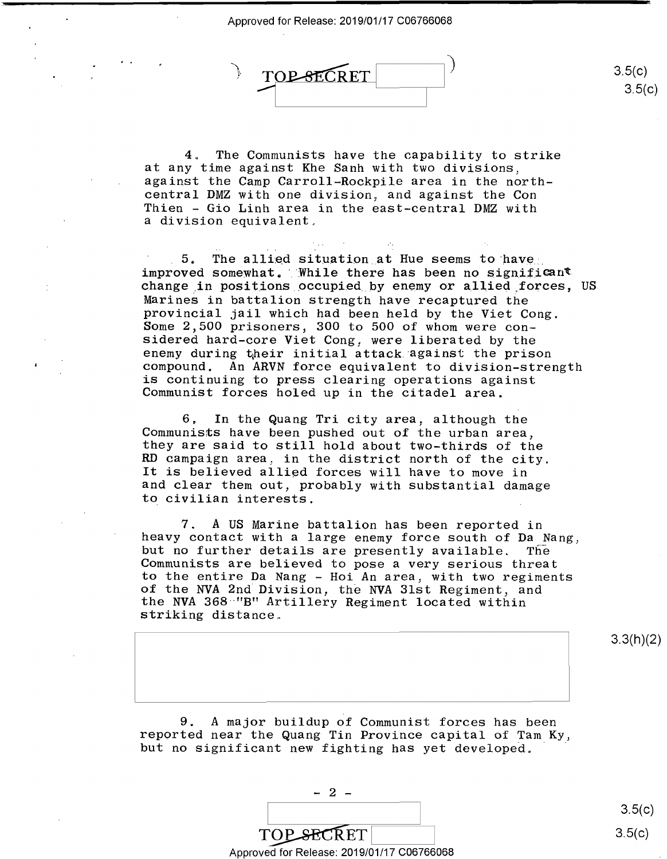

4. The Communists have the capability to strike 4, The Communists have the capability to strike at any time against Khe Sanh with two divisions, at any time against Khe Sanh with two divisions, against the Camp Carroll-Rockpile area in the north-against the Camp Carroll—Rockpile area in the north central DMZ with one division, and against the Con Thien - Gio Linh area in the east-central DMZ with Thien — Gio Linh area in the east-central DMZ with a division equivalent. <sup>a</sup> division equivalent,

 $5.$  The allied situation at Hue seems to have improved somewhat. While there has been no significant change,in positions occupied by enemy or allied,forces, US change in positions occupied by enemy or alliedyforces, US Marines in battalion strength have recaptured the Marines in battalion strength have recaptured the provincial jail which had been held by the Viet Cong. provincial jail which had been held by the Viet Cong. Some 2,500 prisoners, 300 to 500 of whom were con-Some 2,500 prisoners, 300 to 500 of whom were considered hard-core Viet Cong, were liberated by the sidered hard—core Viet Cong, were liberated by the enemy during tiheir initial attack against the prison enemy during hheir initial attack against the prison compound. An **ARVN** force equivalent to division-strength compound. An ARVN force equivalent to division—strength is continuing to press clearing operations against is continuing to press clearing operations against Communist forces holed up in the citadel area. Communist forces holed up in the citadel area.

6. In the Quang Tri city area, although the 6, In the Quang Tri city area, although the Communists have been pushed out of the urban area, Communists have been pushed out of the urban area, they are said to still hold about two-thirds of the they are said to still hold about two—thirds of the RD campaign area, in the district north of the city. RD campaign area, in the district north of the city. as campaign area, in the district horin of the erry.<br>It is believed allied forces will have to move in and clear them out, probably with substantial damage and clear them out, probably with substantial damage to civilian interests. to civilian interests.

7. A US Marine battalion has been reported in 7. A US Marine battalion has been reported in heavy contact with a large enemy force south of Da Nang, heavy contact with <sup>a</sup> large enemy force south of Da Nang, but no further details are presently available. The but no further details are presently available. The Communists are believed to pose a very serious threat Communists are believed to pose <sup>a</sup> very serious threat to the entire Da Nang - Hoi An area, with two regiments to the entire Da Nang — Hoi An area, with two regiments of the NVA 2nd Division, the NVA 31st Regiment, and of the NVA 2nd Division, the NVA Blst Regiment, and the NVA 368 **·"B"** Artillery Regiment located within the NVA 368 "B" Artillery Regiment located within striking distance. striking distance,

3.3(h)(2) 3.3(h)(2)

 $3.5(c)$ 3.5(c)

9. A major buildup of Communist forces has been 9. A major buildup of Communist forces has been reported near the Quang Tin Province capital of Tam Ky, but no significant new fighting has yet developed. · but no significant new fighting has yet developed,

 $3.5(c)$ 3.5(c)

 $\frac{1}{\sqrt{\text{CPECRET}}}$ <br>Approved for Release: 2019/01/17 C06766068

TOP SECRET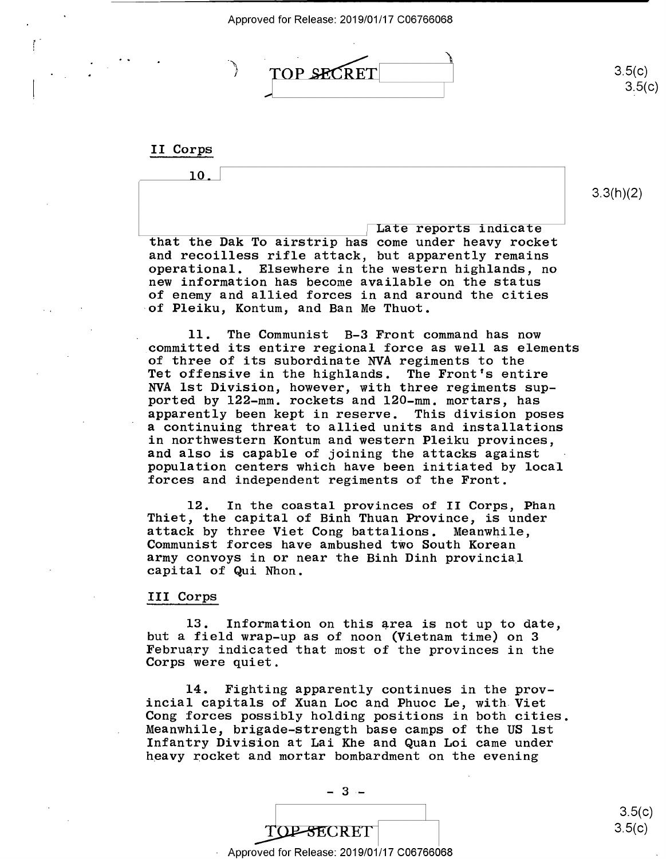

II Corps II Corps

0 10.

 $\begin{array}{|c|c|c|}\hline \text{Later reports indicate}\ \hline \end{array}$ that the Dak To airstrip has come under heavy rocket that the Dak To airstrip has come under heavy rocket and recoilless rifle attack, but apparently remains and recoilless rifle attack, but apparently remains operational. Elsewhere in the western highlands, no operational. Elsewhere in the western highlands, no new information has become available on the status new information has become available on the status of enemy and allied forces in and around the cities of enemy and allied forces in and around the cities of Pleiku, Kontum, and Ban Me Thuot.

11. The Communist B-3 Front command has now 11. The Communist B—3 Front command has now committed its entire regional force as well as elements .committed its entire regional force as well as elements of three of its subordinate NVA regiments to the of three of its subordinate NVA regiments to the Tet offensive in the highlands. The Front's entire Tet offensive in the highlands. The Front's entire NVA 1st Division, however, with three regiments sup-NVA lst Division, however, with three regiments sup ported by 122-mm. rockets and 120-mm. mortars, has ported by 122-mm. rockets and 120—mm. mortars, has apparently been kept in reserve. This division poses apparently been kept in reserve. This division poses a continuing threat to allied units and installations <sup>a</sup> continuing threat to allied units and installations in northwestern Kontum and western Pleiku provinces, in northwestern Kontum and western Pleiku provinces, and also is capable of joining the attacks against and also is capable of joining the attacks against population centers which have been initiated by local population centers which have been initiated by local forces and independent regiments of the Front.

12. In the coastal provinces of II Corps, Phan 12. In the coastal provinces of II Corps, Phan Thiet, the capital of Binh Thuan Province, is under Thiet, the capital of Binh Thuan Province, is under attack by three Viet Cong battalions. Meanwhile, attack by three Viet Cong battalions. Meanwhile, Communist forces have ambushed two South Korean Communist forces have ambushed two South Korean army convoys in or near the Binh Dinh provincial army convoys in or near the Binh Dinh provincial capital of Qui Nhon. capital of Qui Nhon.

# III Corps III Corps

 $13.$  Information on this area is not up to date, but a field wrap-up as of noon (Vietnam time) on 3 but <sup>a</sup> field wrap-up as of noon (Vietnam time) on 3 February indicated that most of the provinces in the February indicated that most of the provinces in the Corps were quiet. Corps were quiet.

14. Fighting apparently continues in the prov-14. Fighting apparently continues in the prov incial capitals of Xuan Loe and Phuoc Le, with Viet incial capitals of Xuan Loc and Phuoc Le, with-Viet Cong forces possibly holding positions in both cities. Cong forces possibly holding positions in both cities. Meanwhile, brigade-strength base camps of the US 1st Meanwhile, brigade—strength base camps of the US lst Infantry Division at Lai Khe and Quan Loi came under heavy rocket and mortar bombardment on the evening heavy rocket and mortar bombardment on the evening

TOP-SECRET Approved for Release: 2019/01/17 C06766068 Approved for Release: 2019/01/17 006766068 3.3(h)(2) 3.3(h)(2)

3.5(c) 3.5(0) 3.5(c)

3.5(c) 3.5(c)  $3.5(c)$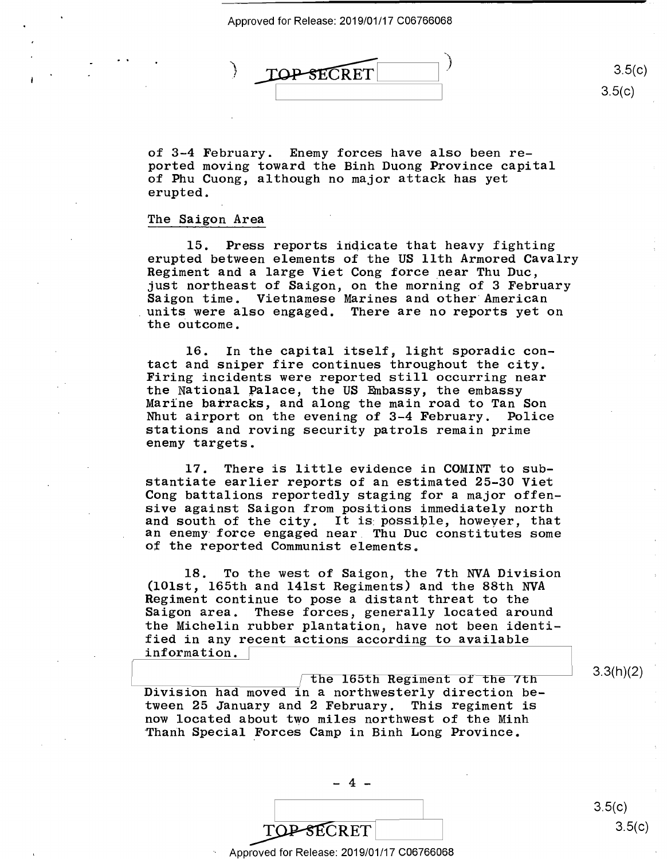

of 3-4 February. Enemy forces have also been reported moving toward the Binh Duong Province capital ported moving toward the Binh Duong Province capital of Phu Cuong, although no major attack has yet of Phu Cuong, although no major attack has yet erupted. erupted.

# The Saigon Area The Saigon Area

15. Press reports indicate that heavy fighting 15. Press reports indicate that heavy fighting erupted between elements of the US 11th Armored Cavalry erupted between elements of the US 11th Armored Cavalry Regiment and a large Viet Cong force near Thu Due, Regiment and <sup>a</sup> large Viet Cong force\_near Thu Duc, just northeast of Saigon, on the morning of 3 February just northeast of Saigon, on the morning of 3 February Saigon time. Vietnamese Marines and other American Saigon time. Vietnamese Marines and other'American units were also engaged. There are no reports yet on the outcome. the Outcome.

16. In the capital itself, light sporadic con-16. In the capital itself, light sporadic con tact and sniper fire continues throughout the city. tact and sniper fire continues throughout the city. Firing incidents were reported still occurring near Firing incidents were reported still occurring near the National Palace, the US Embassy, the embassy Marine barracks, and along the main road to Tan Son Marine barracks, and along the main road to Tan Son Nhut airport on the evening of 3-4 February. Police Nhut airport on the evening of 3—4 February. Police stations and roving security patrols remain prime stations and roving security patrols remain prime enemy targets. enemy targets.

17. There is little evidence in COMINT to sub-17. There is little evidence in COMINT to substantiate earlier reports of an estimated 25-30 Viet stantiate earlier reports of an estimated 25—30 Viet Cong battalions reportedly staging for a major offen-Cong battalions reportedly staging for <sup>a</sup> major offen sive against Saigon from positions immediately north sive against Saigon from positions immediately north and south of the city. It is possible, however, that an enemy· force engaged near. Thu Due constitutes some an enemy force engaged near. Thu Duc constitutes some of the reported Communist elements. of the reported Communist elements.

18. To the west of Saigon, the 7th NVA Division 18. To the west of Saigon, the 7th NVA Division (101st, 165th and 141st Regiments) and the 88th NVA (101st, 165th and 141st Regiments) and the 88th NVA Regiment continue to pose a distant threat to the Regiment continue to pose <sup>a</sup> distant threat to the Saigon area. These forces, generally located around Saigon area. These forces, generally located around the Michelin rubber plantation, have not been identi-the Michelin rubber plantation, have not been identi fied in any recent actions according to available fied in any recent actions according to available information.

 $\sqrt{2}$  the 165th Regiment of the 7th  $\sim$  3.3(h)(2)  $\overline{\text{Division had moved in a northwesterly direction be}}$ tween 25 January and 2 February. This regiment is tween 25 January and 2 February. This regiment is now located about two miles northwest of the Minh now located about two miles northwest of the Minh ·Thanh Special Forces Camp in Binh Long Province. 'Thanh Special Forces Camp in Binh Long Province.

> TOP SECRET ~~ TOP SECRET 3.5(c)

 $-4 -$ 

 $3.5(c)$ 3.5(c)

3.3(h)(2)

3.5(c) 3.5(c)

Approved for Release: 2019/01/17 C06766068 Approved for Release: 2019/01/17 C06766068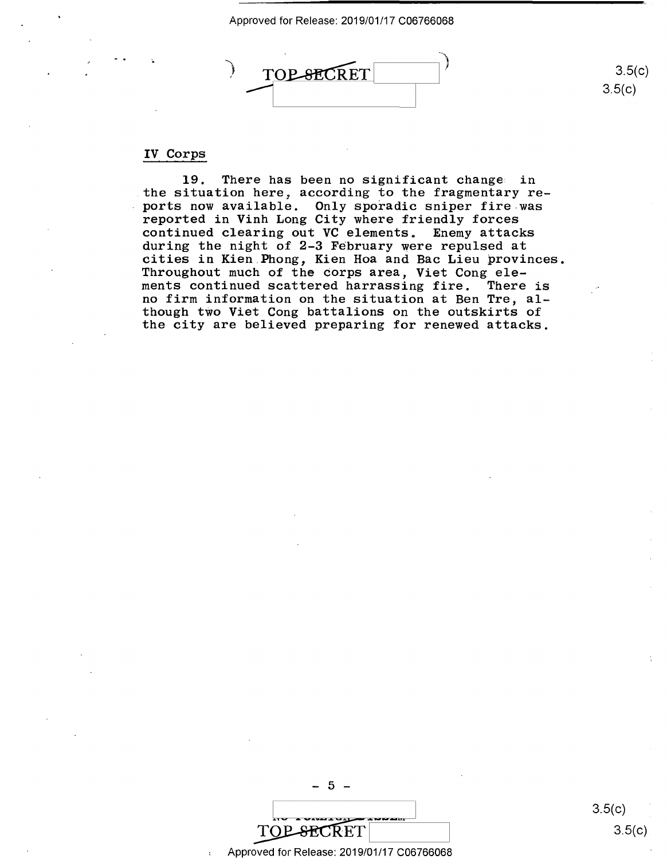Approved for Release: 2019/01/17 C06766068 Approved forRelease: 2019/01/17 006766068



### IV Corps IV Corps

**19.** There has been no significant change in 19. There has been no significant change: in the situation here, according to the fragmentary reports now available. Only sporadic sniper fire was reported in Vinh Long City where friendly forces reported in Vinh Long City where friendly forces continued clearing out VC elements. Enemy attacks continued clearing out VC elements. Enemy attacks contribute creating out to crements. Including a concrete during the night of 2-3 February were repulsed at cities in Kien.Phong, Kien Hoa and Bae Lieu provinces. cities in Kien.Phong, Kien Hoa and Bac Lieu provinces. Throughout much of the corps area, Viet Cong ele-Throughout much ofthe Corps area, Viet Cong ele ments continued scattered harrassing fire. There is ments continued scattered harrassing fire. There is no firm information on the situation at Ben Tre, al-no firm information on the situation at Ben Tre, al though two Viet Cong battalions on the outskirts of though tWo Viet Cong battalions on the outskirts of the city are believed preparing for renewed attacks. the city are believed preparing for renewed attacks.

- 5 -  $TOP-BECRET$  3.5(c)

Approved for Release: 2019/01/17 C06766068 Approved for Release: 2019/01/17 006766068 '

 $3.5(c)$ 3.5(c)

3.5(c)

3.5(c)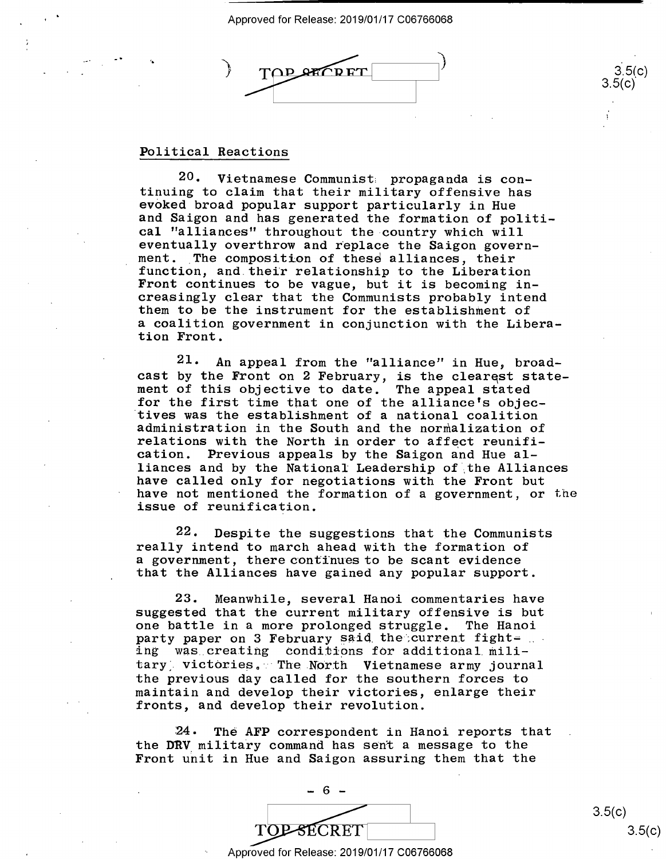$\bigcup_{i=1}^n$ .) firEyg72fififilgri | :35anp) 3ffl  $\sqrt{ }$ 

# Political Reactions Political Reactions

'•

20. Vietnamese Communist, propaganda is con-20. Vietnamese Communist; propaganda is con tinuing to claim that their military offensive has tinuing to claim that their military offensive has evoked broad popular support particularly in Hue eked broad popular support particularly in Hue and Saigon and has generated the formation of politi-and Saigon and has generated the formation of politi cal "alliances" throughout the country which will cal "alliances" throughout the-country which will eventually overthrow and replace the Saigon govern-Interacting over the composition of these alliances, their function, and their relationship to the Liberation Front continues to be vague, but it is becoming in-Front continues to be vague, but it is becoming increasingly clear that the Communists probably intend creasingly clear that the Communists probably intend them to be the instrument for the establishment of them tobe the instrument for the establishment of a coalition government in conjunction with the Libera-<sup>a</sup> coalition government in conjunction with the Liberation Front. tion Front.

21. An appeal from the "alliance" in Hue, broad-21. An appeal from the "alliance" in Hue, broad cast by the Front on 2 February, is the clearest statecast by the Front on 2 February, is the clearest state-<br>ment of this objective to date. The appeal stated for the first time that one of the alliance's objec-for the first time that one of the alliance's objec tives was the establishment of a national coalition 'tives was the establishment of a national coalition administration in the South and the normalization of administration in the South and the normalization of relations with the North in order to affect reunification. Previous appeals by the Saigon and Hue al-cation. Previous appeals by the Saigon and Hue al liances and by the National Leadership of ,the Alliances liances and by the National Leadership of}the Alliances have called only for negotiations with the Front but have called only for negotiations with the Front but have not mentioned the formation of a government, or the have not mentioned the formation of <sup>a</sup> government, or the issue of reunification. issue of reunification. ment of this objective to date. The appeal stated

22. Despite the suggestions that the Communists .22. Despite the suggestions that the Communists really intend to march ahead with the formation of really intend to march ahead with the formation of a government, there cont'i'nues to be scant evidence <sup>a</sup> government, there continues to be scant evidence that the Alliances have gained any popular support. that the Alliances have gained any popular support.

23. Meanwhile, several Hanoi commentaries have 23. Meanwhile, several Hanoi commentaries have suggested that the current military offensive is but suggested that the current military offensive is but one battle in a more prolonged struggle. The Hanoi one battle in <sup>a</sup> more prolonged struggle. The Hanoi party paper on 3 February said the current fight= party paper on 3 repruary said the current right-<br>ing was creating conditions for additional military, victories. The North Vietnamese army journal the previous day called for the southern forces to the previous day called for the southern forces to maintain and develop their victories, enlarge their maintain and develop their victories, enlarge their fronts, and develop their revolution. fronts, and develop their revolution.

:24. The AFP correspondent in Hanoi reports that 24. The AFP correspondent in Hanoi reports that the DRV military command has sent a message to the Front unit in Hue and Saigon assuring them that the Front unit in Hue and Saigon assuring them that the



 $3.5(c)$ 3.5(c)

 $3.5(c)$ <br> $3.5(c)$